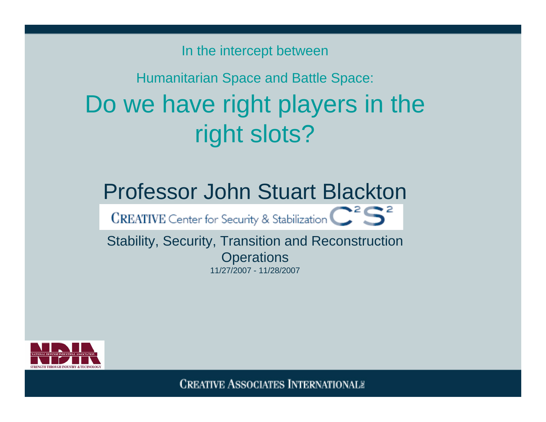In the intercept between

### Humanitarian Space and Battle Space: Do we have right players in the right slots?

#### Professor John Stuart Blackton

CREATIVE Center for Security & Stabilization C<sup>2</sup>S<sup>2</sup>

Stability, Security, Transition and Reconstruction **Operations** 11/27/2007 - 11/28/2007

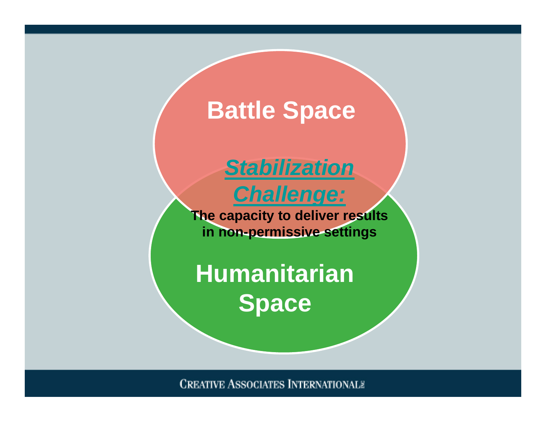## **Battle Space**

*Stabilization Challenge:* **The capacity to deliver results in non-permissive settings**

**Humanitarian Space**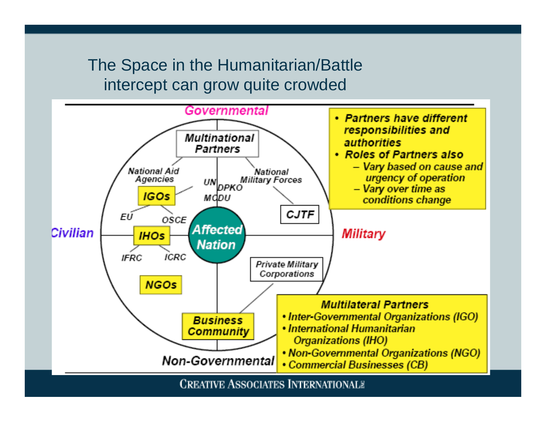#### The Space in the Humanitarian/Battle intercept can grow quite crowded

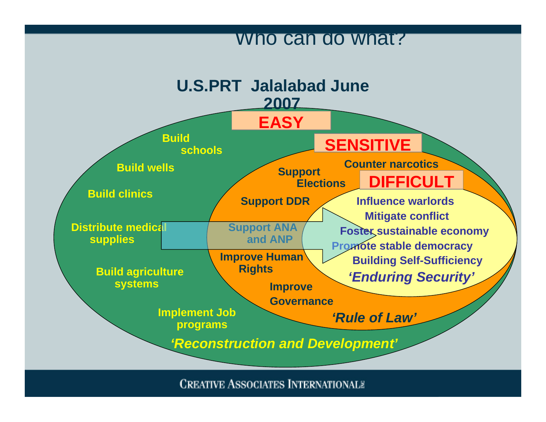#### Who can do what?

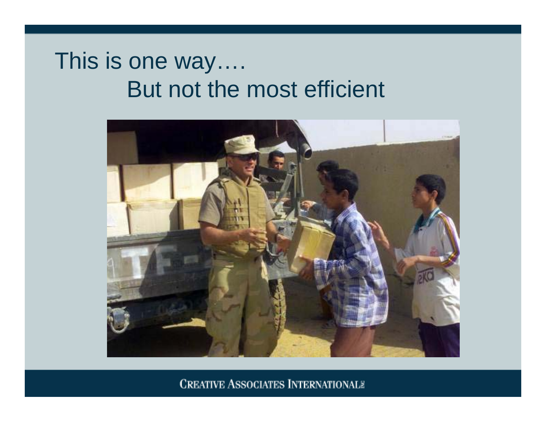### This is one way…. But not the most efficient

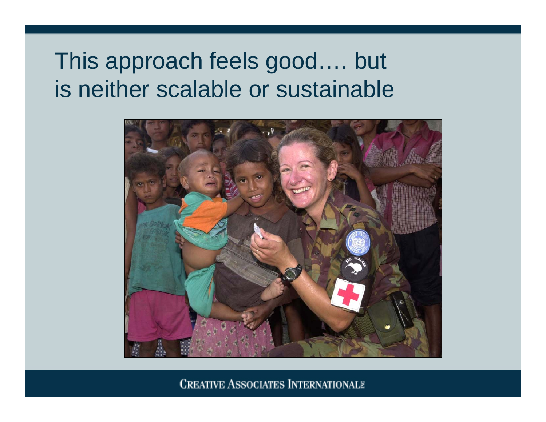## This approach feels good…. but is neither scalable or sustainable

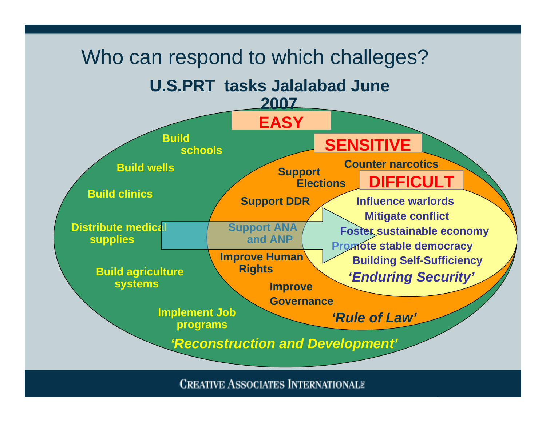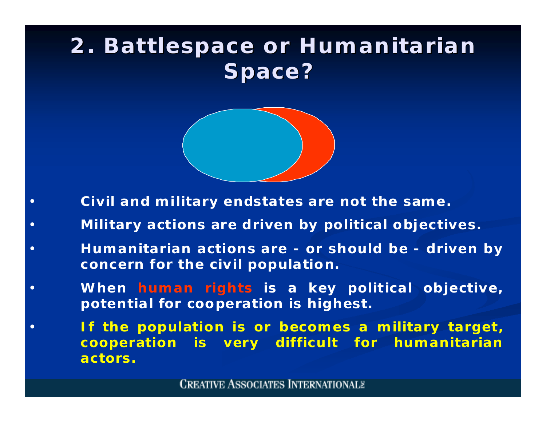### **2. Battlespace or Humanitarian 2. Battlespace or Humanitarian Space?**



- •**Civil and military endstates are not the same.**
- •**Military actions are driven by political objectives.**
- • **Humanitarian actions are - or should be - driven by concern for the civil population.**
- • **When human rights is a key political objective, potential for cooperation is highest.**
- • *If the population is or becomes a m ilitary target, cooperation is very difficult for humanitarian actors.*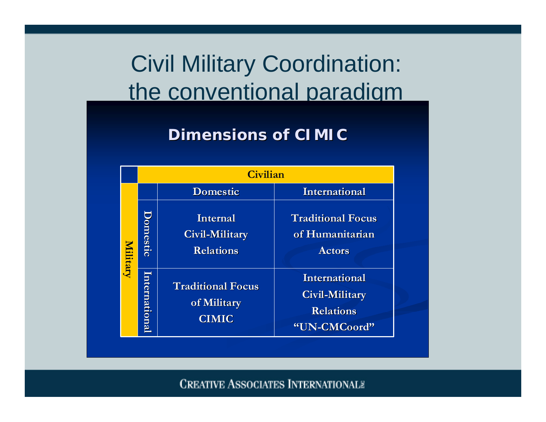## Civil Military Coordination: the conventional paradigm

#### **Dimensions of CIMIC Dimensions of CIMIC**

|                 | <b>Civilian</b> |                                                         |                                                                     |
|-----------------|-----------------|---------------------------------------------------------|---------------------------------------------------------------------|
| <b>Military</b> |                 | <b>Domestic</b>                                         | <b>International</b>                                                |
|                 | Domestic        | Internal<br>Civil-Military<br><b>Relations</b>          | <b>Traditional Focus</b><br>of Humanitarian<br><b>Actors</b>        |
|                 | Internationa    | <b>Traditional Focus</b><br>of Military<br><b>CIMIC</b> | International<br>Civil-Military<br><b>Relations</b><br>"UN-CMCoord" |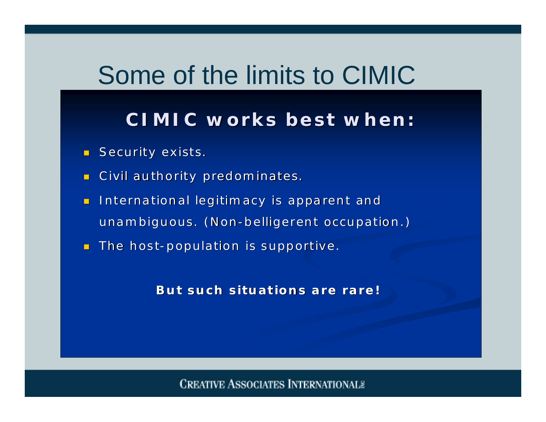## Some of the limits to CIMIC

#### **CIMIC works best when: CIMIC works best when:**

- $\textcolor{red}{\bullet}$  Security exists.
- $\textcolor{red}{\bullet}$  Civil authority predominates.
- $\blacksquare$ International legitim acy is apparent and unambiguous. (Non-belligerent occupation.)
- $\blacksquare$ The host-population is supportive.

#### *But such situations are rare! But such situations are rare!*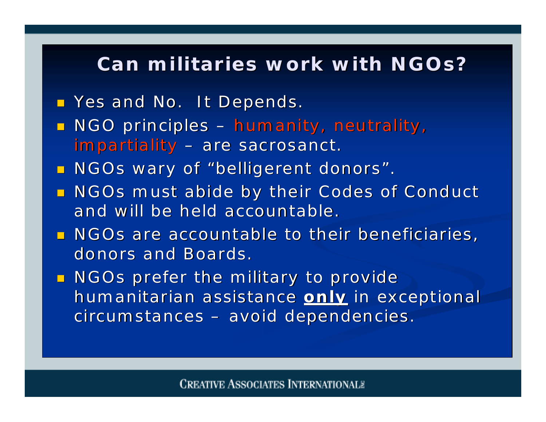#### **Can m ilitaries work w ith NGOs? Can m ilitaries work with NGOs?**

- **B** Yes and No. It Depends.
- $\blacksquare$  NGO principles *hum anity, neutrality, humanity, neutrality, impartiality impartiality* – are sacrosanct.
- **n** NGOs wary of "belligerent donors".
- $\textcolor{red}{\blacksquare}$  NGOs must abide by their Codes of Conduct and will be held accountable.
- $\blacksquare$  NGOs are accountable to their beneficiaries, donors and Boards.
- **NGOs prefer the military to provide** humanitarian assistance **only** in exceptional circumstances -– avoid dependencies.  $\overline{\phantom{a}}$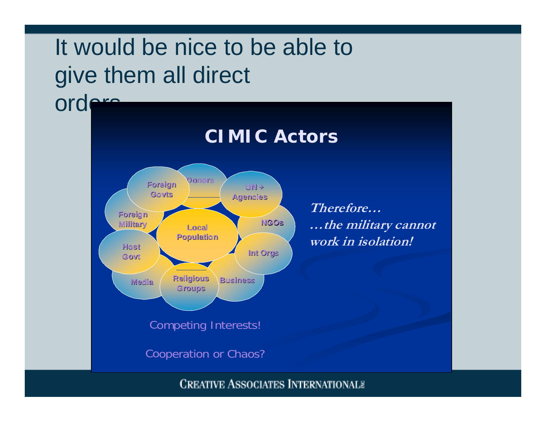## It would be nice to be able to give them all direct

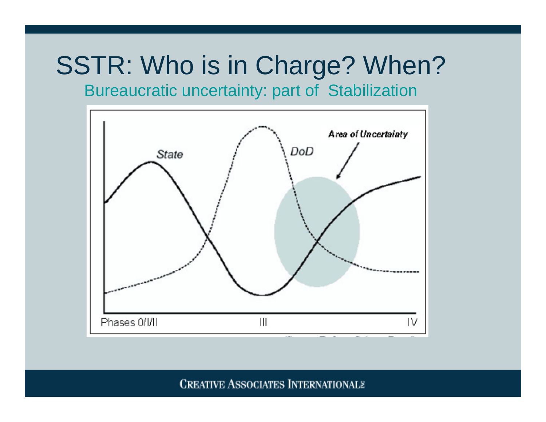## SSTR: Who is in Charge? When?

Bureaucratic uncertainty: part of Stabilization

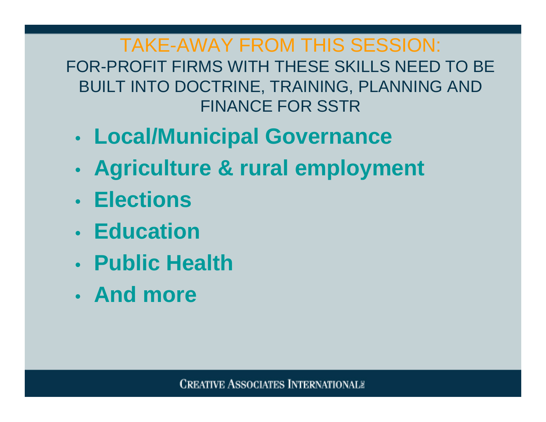#### TAKE-AWAY FROM THIS SESSION: FOR-PROFIT FIRMS WITH THESE SKILLS NEED TO BE BUILT INTO DOCTRINE, TRAINING, PLANNING AND FINANCE FOR SSTR

- $\bullet$ **Local/Municipal Governance**
- $\bullet$ **Agriculture & rural employment**
- **Elections**
- **Education**
- **Public Health**
- **And more**